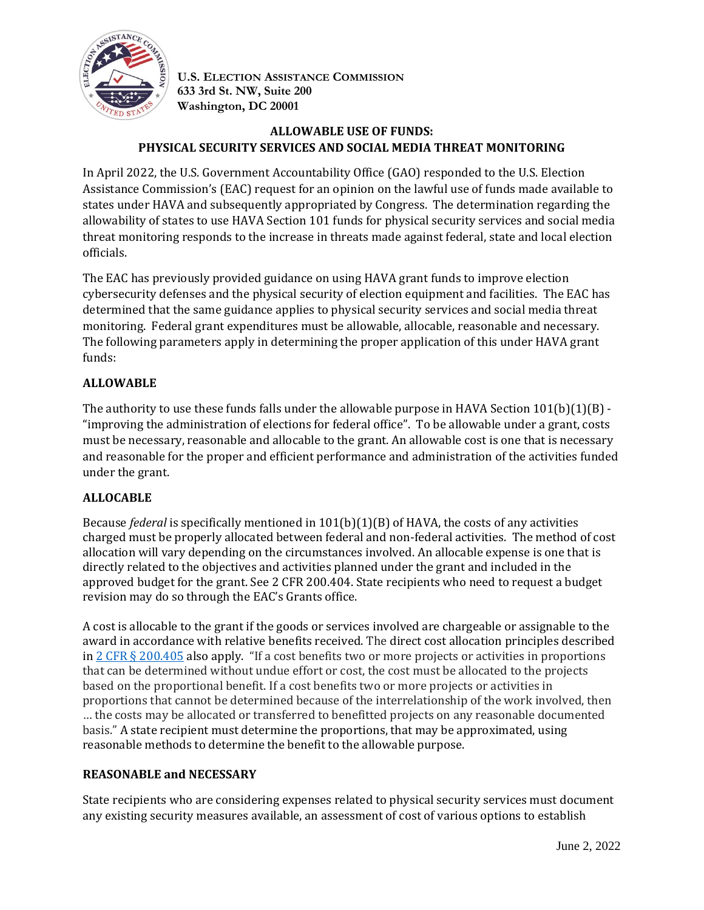

**U.S. ELECTION ASSISTANCE COMMISSION 633 3rd St. NW, Suite 200 Washington, DC 20001**

# **ALLOWABLE USE OF FUNDS: PHYSICAL SECURITY SERVICES AND SOCIAL MEDIA THREAT MONITORING**

In April 2022, the U.S. Government Accountability Office (GAO) responded to the U.S. Election Assistance Commission's (EAC) request for an opinion on the lawful use of funds made available to states under HAVA and subsequently appropriated by Congress. The determination regarding the allowability of states to use HAVA Section 101 funds for physical security services and social media threat monitoring responds to the increase in threats made against federal, state and local election officials.

The EAC has previously provided guidance on using HAVA grant funds to improve election cybersecurity defenses and the physical security of election equipment and facilities. The EAC has determined that the same guidance applies to physical security services and social media threat monitoring. Federal grant expenditures must be allowable, allocable, reasonable and necessary. The following parameters apply in determining the proper application of this under HAVA grant funds:

# **ALLOWABLE**

The authority to use these funds falls under the allowable purpose in HAVA Section  $101(b)(1)(B)$ . "improving the administration of elections for federal office". To be allowable under a grant, costs must be necessary, reasonable and allocable to the grant. An allowable cost is one that is necessary and reasonable for the proper and efficient performance and administration of the activities funded under the grant.

### **ALLOCABLE**

Because *federal* is specifically mentioned in 101(b)(1)(B) of HAVA, the costs of any activities charged must be properly allocated between federal and non-federal activities. The method of cost allocation will vary depending on the circumstances involved. An allocable expense is one that is directly related to the objectives and activities planned under the grant and included in the approved budget for the grant. See 2 CFR 200.404. State recipients who need to request a budget revision may do so through the EAC's Grants office.

A cost is allocable to the grant if the goods or services involved are chargeable or assignable to the award in accordance with relative benefits received. The direct cost allocation principles described in 2 CFR § [200.405](https://www.ecfr.gov/current/title-2/subtitle-A/chapter-II/part-200/subpart-E/subject-group-ECFRea20080eff2ea53/section-200.405) also apply. "If a cost benefits two or more projects or activities in proportions that can be determined without undue effort or cost, the cost must be allocated to the projects based on the proportional benefit. If a cost benefits two or more projects or activities in proportions that cannot be determined because of the interrelationship of the work involved, then … the costs may be allocated or transferred to benefitted projects on any reasonable documented basis." A state recipient must determine the proportions, that may be approximated, using reasonable methods to determine the benefit to the allowable purpose.

### **REASONABLE and NECESSARY**

State recipients who are considering expenses related to physical security services must document any existing security measures available, an assessment of cost of various options to establish